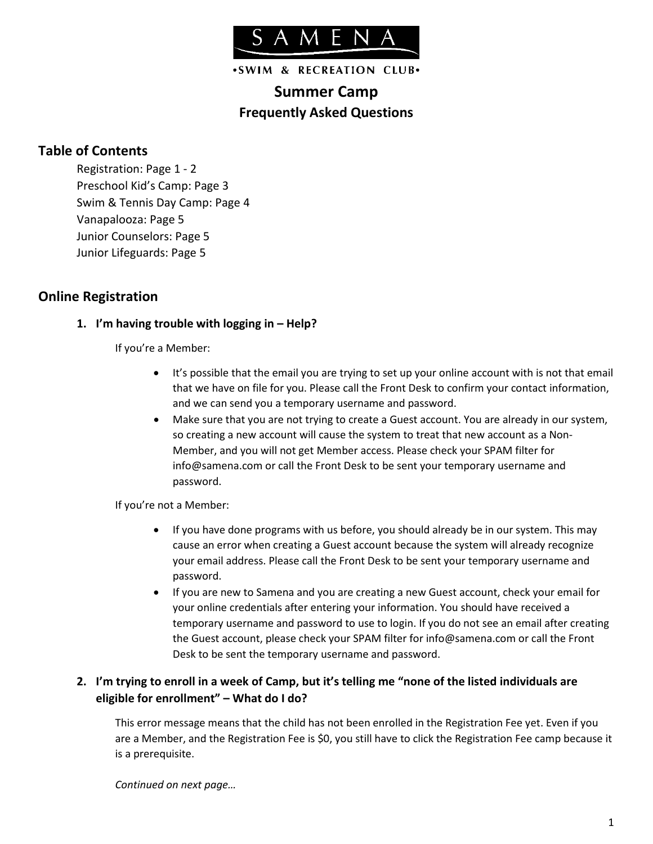

.SWIM & RECREATION CLUB.

# **Summer Camp Frequently Asked Questions**

# **Table of Contents**

Registration: Page 1 - 2 Preschool Kid's Camp: Page 3 Swim & Tennis Day Camp: Page 4 Vanapalooza: Page 5 Junior Counselors: Page 5 Junior Lifeguards: Page 5

# **Online Registration**

### **1. I'm having trouble with logging in – Help?**

If you're a Member:

- It's possible that the email you are trying to set up your online account with is not that email that we have on file for you. Please call the Front Desk to confirm your contact information, and we can send you a temporary username and password.
- Make sure that you are not trying to create a Guest account. You are already in our system, so creating a new account will cause the system to treat that new account as a Non-Member, and you will not get Member access. Please check your SPAM filter for info@samena.com or call the Front Desk to be sent your temporary username and password.

If you're not a Member:

- If you have done programs with us before, you should already be in our system. This may cause an error when creating a Guest account because the system will already recognize your email address. Please call the Front Desk to be sent your temporary username and password.
- If you are new to Samena and you are creating a new Guest account, check your email for your online credentials after entering your information. You should have received a temporary username and password to use to login. If you do not see an email after creating the Guest account, please check your SPAM filter for info@samena.com or call the Front Desk to be sent the temporary username and password.

### **2. I'm trying to enroll in a week of Camp, but it's telling me "none of the listed individuals are eligible for enrollment" – What do I do?**

This error message means that the child has not been enrolled in the Registration Fee yet. Even if you are a Member, and the Registration Fee is \$0, you still have to click the Registration Fee camp because it is a prerequisite.

*Continued on next page…*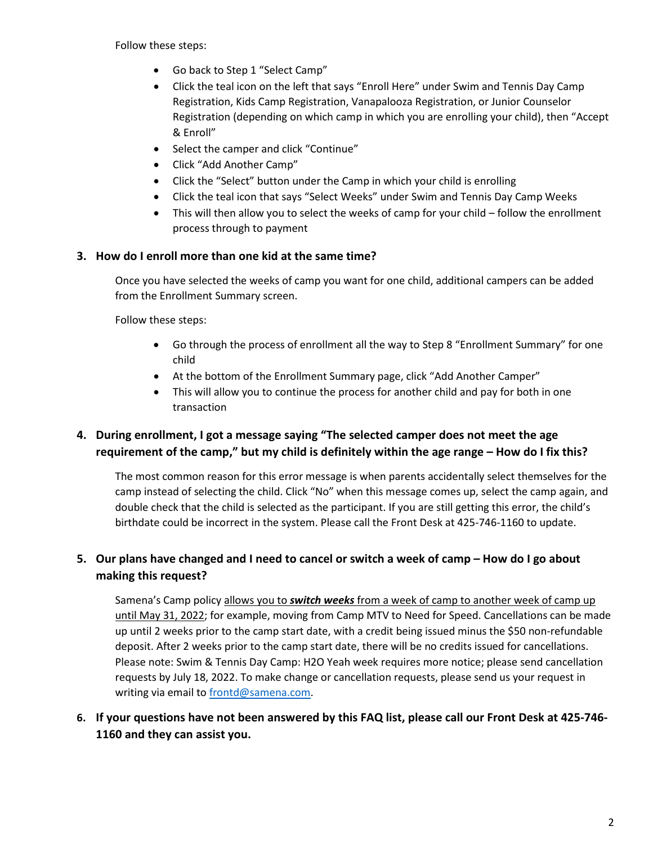Follow these steps:

- Go back to Step 1 "Select Camp"
- Click the teal icon on the left that says "Enroll Here" under Swim and Tennis Day Camp Registration, Kids Camp Registration, Vanapalooza Registration, or Junior Counselor Registration (depending on which camp in which you are enrolling your child), then "Accept & Enroll"
- Select the camper and click "Continue"
- Click "Add Another Camp"
- Click the "Select" button under the Camp in which your child is enrolling
- Click the teal icon that says "Select Weeks" under Swim and Tennis Day Camp Weeks
- This will then allow you to select the weeks of camp for your child follow the enrollment process through to payment

### **3. How do I enroll more than one kid at the same time?**

Once you have selected the weeks of camp you want for one child, additional campers can be added from the Enrollment Summary screen.

Follow these steps:

- Go through the process of enrollment all the way to Step 8 "Enrollment Summary" for one child
- At the bottom of the Enrollment Summary page, click "Add Another Camper"
- This will allow you to continue the process for another child and pay for both in one transaction

# **4. During enrollment, I got a message saying "The selected camper does not meet the age requirement of the camp," but my child is definitely within the age range – How do I fix this?**

The most common reason for this error message is when parents accidentally select themselves for the camp instead of selecting the child. Click "No" when this message comes up, select the camp again, and double check that the child is selected as the participant. If you are still getting this error, the child's birthdate could be incorrect in the system. Please call the Front Desk at 425-746-1160 to update.

# **5. Our plans have changed and I need to cancel or switch a week of camp – How do I go about making this request?**

Samena's Camp policy allows you to *switch weeks* from a week of camp to another week of camp up until May 31, 2022; for example, moving from Camp MTV to Need for Speed. Cancellations can be made up until 2 weeks prior to the camp start date, with a credit being issued minus the \$50 non-refundable deposit. After 2 weeks prior to the camp start date, there will be no credits issued for cancellations. Please note: Swim & Tennis Day Camp: H2O Yeah week requires more notice; please send cancellation requests by July 18, 2022. To make change or cancellation requests, please send us your request in writing via email to [frontd@samena.com.](mailto:frontd@samena.com)

**6. If your questions have not been answered by this FAQ list, please call our Front Desk at 425-746- 1160 and they can assist you.**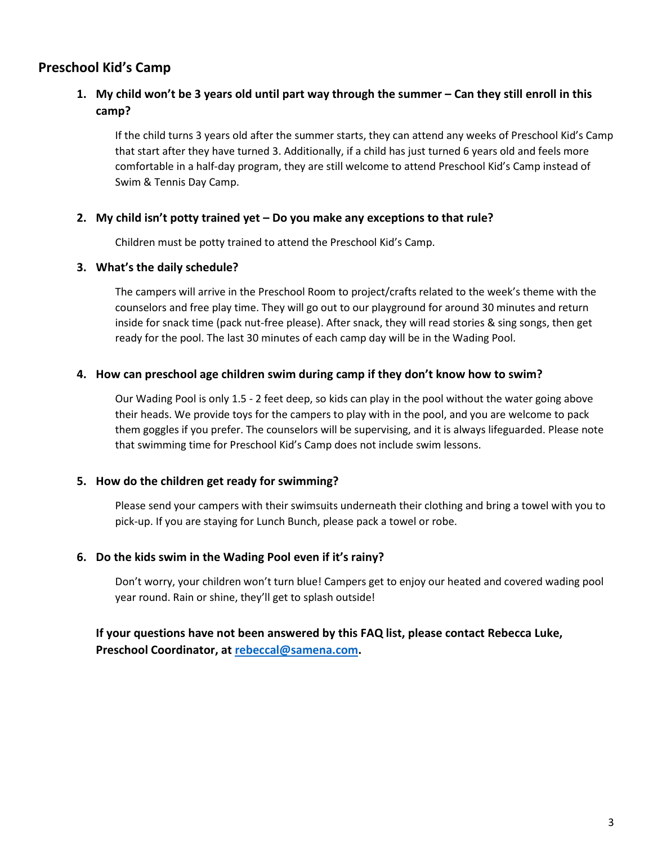# **Preschool Kid's Camp**

# **1. My child won't be 3 years old until part way through the summer – Can they still enroll in this camp?**

If the child turns 3 years old after the summer starts, they can attend any weeks of Preschool Kid's Camp that start after they have turned 3. Additionally, if a child has just turned 6 years old and feels more comfortable in a half-day program, they are still welcome to attend Preschool Kid's Camp instead of Swim & Tennis Day Camp.

#### **2. My child isn't potty trained yet – Do you make any exceptions to that rule?**

Children must be potty trained to attend the Preschool Kid's Camp.

#### **3. What's the daily schedule?**

The campers will arrive in the Preschool Room to project/crafts related to the week's theme with the counselors and free play time. They will go out to our playground for around 30 minutes and return inside for snack time (pack nut-free please). After snack, they will read stories & sing songs, then get ready for the pool. The last 30 minutes of each camp day will be in the Wading Pool.

#### **4. How can preschool age children swim during camp if they don't know how to swim?**

Our Wading Pool is only 1.5 - 2 feet deep, so kids can play in the pool without the water going above their heads. We provide toys for the campers to play with in the pool, and you are welcome to pack them goggles if you prefer. The counselors will be supervising, and it is always lifeguarded. Please note that swimming time for Preschool Kid's Camp does not include swim lessons.

### **5. How do the children get ready for swimming?**

Please send your campers with their swimsuits underneath their clothing and bring a towel with you to pick-up. If you are staying for Lunch Bunch, please pack a towel or robe.

#### **6. Do the kids swim in the Wading Pool even if it's rainy?**

Don't worry, your children won't turn blue! Campers get to enjoy our heated and covered wading pool year round. Rain or shine, they'll get to splash outside!

### **If your questions have not been answered by this FAQ list, please contact Rebecca Luke, Preschool Coordinator, at [rebeccal@samena.com.](mailto:rebeccal@samena.com)**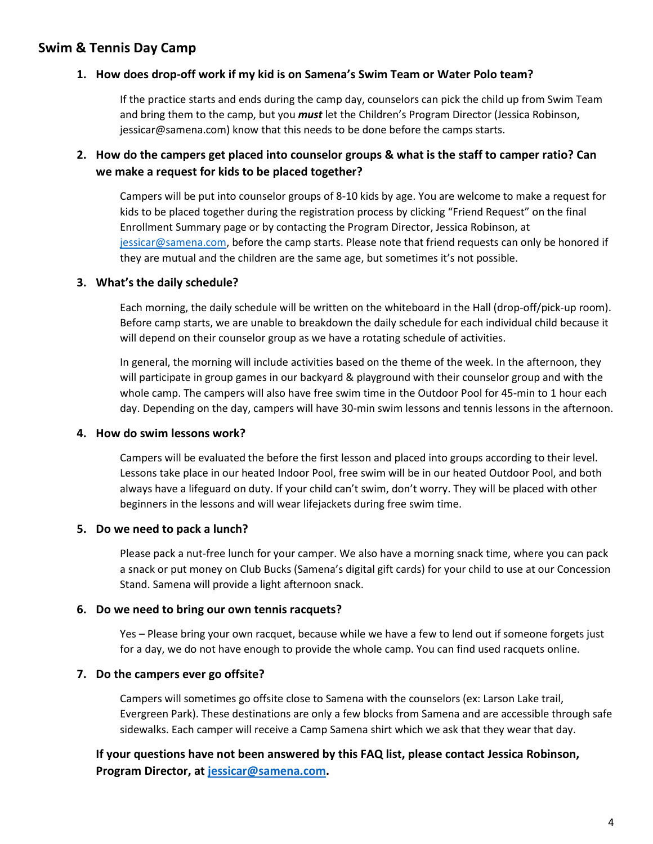# **Swim & Tennis Day Camp**

### **1. How does drop-off work if my kid is on Samena's Swim Team or Water Polo team?**

If the practice starts and ends during the camp day, counselors can pick the child up from Swim Team and bring them to the camp, but you *must* let the Children's Program Director (Jessica Robinson, jessicar@samena.com) know that this needs to be done before the camps starts.

# **2. How do the campers get placed into counselor groups & what is the staff to camper ratio? Can we make a request for kids to be placed together?**

Campers will be put into counselor groups of 8-10 kids by age. You are welcome to make a request for kids to be placed together during the registration process by clicking "Friend Request" on the final Enrollment Summary page or by contacting the Program Director, Jessica Robinson, at [jessicar@samena.com,](mailto:jessicar@samena.com) before the camp starts. Please note that friend requests can only be honored if they are mutual and the children are the same age, but sometimes it's not possible.

### **3. What's the daily schedule?**

Each morning, the daily schedule will be written on the whiteboard in the Hall (drop-off/pick-up room). Before camp starts, we are unable to breakdown the daily schedule for each individual child because it will depend on their counselor group as we have a rotating schedule of activities.

In general, the morning will include activities based on the theme of the week. In the afternoon, they will participate in group games in our backyard & playground with their counselor group and with the whole camp. The campers will also have free swim time in the Outdoor Pool for 45-min to 1 hour each day. Depending on the day, campers will have 30-min swim lessons and tennis lessons in the afternoon.

### **4. How do swim lessons work?**

Campers will be evaluated the before the first lesson and placed into groups according to their level. Lessons take place in our heated Indoor Pool, free swim will be in our heated Outdoor Pool, and both always have a lifeguard on duty. If your child can't swim, don't worry. They will be placed with other beginners in the lessons and will wear lifejackets during free swim time.

### **5. Do we need to pack a lunch?**

Please pack a nut-free lunch for your camper. We also have a morning snack time, where you can pack a snack or put money on Club Bucks (Samena's digital gift cards) for your child to use at our Concession Stand. Samena will provide a light afternoon snack.

### **6. Do we need to bring our own tennis racquets?**

Yes – Please bring your own racquet, because while we have a few to lend out if someone forgets just for a day, we do not have enough to provide the whole camp. You can find used racquets online.

### **7. Do the campers ever go offsite?**

Campers will sometimes go offsite close to Samena with the counselors (ex: Larson Lake trail, Evergreen Park). These destinations are only a few blocks from Samena and are accessible through safe sidewalks. Each camper will receive a Camp Samena shirt which we ask that they wear that day.

# **If your questions have not been answered by this FAQ list, please contact Jessica Robinson, Program Director, at [jessicar@samena.com.](mailto:jessicar@samena.com)**